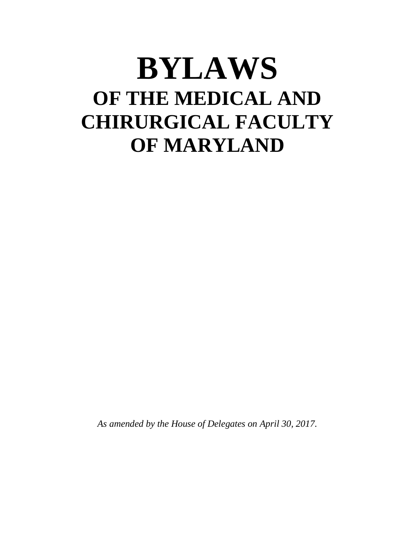# **BYLAWS OF THE MEDICAL AND CHIRURGICAL FACULTY OF MARYLAND**

*As amended by the House of Delegates on April 30, 2017.*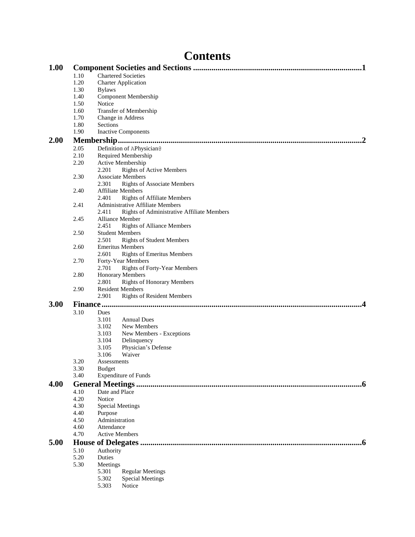|      |              | <b>Contents</b>                                                         |
|------|--------------|-------------------------------------------------------------------------|
| 1.00 |              |                                                                         |
|      | 1.10         | <b>Chartered Societies</b>                                              |
|      | 1.20         | <b>Charter Application</b>                                              |
|      | 1.30         | <b>Bylaws</b>                                                           |
|      | 1.40<br>1.50 | <b>Component Membership</b>                                             |
|      | 1.60         | Notice<br>Transfer of Membership                                        |
|      | 1.70         | Change in Address                                                       |
|      | 1.80         | Sections                                                                |
|      | 1.90         | <b>Inactive Components</b>                                              |
| 2.00 |              |                                                                         |
|      | 2.05         | Definition of APhysician@                                               |
|      | 2.10         | Required Membership                                                     |
|      | 2.20         | Active Membership                                                       |
|      |              | 2.201<br><b>Rights of Active Members</b>                                |
|      | 2.30         | <b>Associate Members</b>                                                |
|      |              | <b>Rights of Associate Members</b><br>2.301                             |
|      | 2.40         | <b>Affiliate Members</b><br>2.401<br><b>Rights of Affiliate Members</b> |
|      | 2.41         | Administrative Affiliate Members                                        |
|      |              | Rights of Administrative Affiliate Members<br>2.411                     |
|      | 2.45         | <b>Alliance Member</b>                                                  |
|      |              | 2.451<br><b>Rights of Alliance Members</b>                              |
|      | 2.50         | <b>Student Members</b>                                                  |
|      |              | <b>Rights of Student Members</b><br>2.501                               |
|      | 2.60         | <b>Emeritus Members</b>                                                 |
|      |              | 2.601<br><b>Rights of Emeritus Members</b>                              |
|      | 2.70         | Forty-Year Members<br><b>Rights of Forty-Year Members</b><br>2.701      |
|      | 2.80         | <b>Honorary Members</b>                                                 |
|      |              | 2.801<br><b>Rights of Honorary Members</b>                              |
|      | 2.90         | <b>Resident Members</b>                                                 |
|      |              | 2.901<br><b>Rights of Resident Members</b>                              |
| 3.00 |              | <b>Finance</b>                                                          |
|      | 3.10         | Dues                                                                    |
|      |              | 3.101<br><b>Annual Dues</b>                                             |
|      |              | 3.102<br>New Members                                                    |
|      |              | 3.103<br>New Members - Exceptions                                       |
|      |              | 3.104<br>Delinquency                                                    |
|      |              | 3.105<br>Physician's Defense<br>3.106<br>Waiver                         |
|      | 3.20         | Assessments                                                             |
|      | 3.30         | <b>Budget</b>                                                           |
|      | 3.40         | <b>Expenditure of Funds</b>                                             |
| 4.00 |              | 6                                                                       |
|      | 4.10         | Date and Place                                                          |
|      | 4.20         | Notice                                                                  |
|      | 4.30         | <b>Special Meetings</b>                                                 |
|      | 4.40         | Purpose                                                                 |
|      | 4.50         | Administration                                                          |
|      | 4.60<br>4.70 | Attendance<br><b>Active Members</b>                                     |
|      |              |                                                                         |
| 5.00 |              |                                                                         |
|      | 5.10<br>5.20 | Authority<br>Duties                                                     |
|      | 5.30         | Meetings                                                                |
|      |              | 5.301<br><b>Regular Meetings</b>                                        |
|      |              | 5.302<br><b>Special Meetings</b>                                        |
|      |              | 5.303<br>Notice                                                         |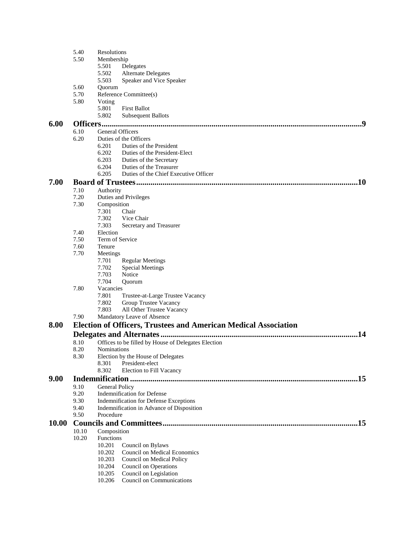|       | 5.40         | Resolutions                            |                                                                        |  |  |  |  |
|-------|--------------|----------------------------------------|------------------------------------------------------------------------|--|--|--|--|
|       | 5.50         | Membership                             |                                                                        |  |  |  |  |
|       |              | 5.501                                  | Delegates                                                              |  |  |  |  |
|       |              | 5.502                                  | <b>Alternate Delegates</b>                                             |  |  |  |  |
|       |              | 5.503                                  | Speaker and Vice Speaker                                               |  |  |  |  |
|       | 5.60         | Quorum                                 |                                                                        |  |  |  |  |
|       | 5.70         |                                        | Reference Committee(s)                                                 |  |  |  |  |
|       | 5.80         | Voting                                 |                                                                        |  |  |  |  |
|       |              | 5.801                                  | <b>First Ballot</b>                                                    |  |  |  |  |
|       |              | 5.802                                  | <b>Subsequent Ballots</b>                                              |  |  |  |  |
| 6.00  |              |                                        |                                                                        |  |  |  |  |
|       | 6.10         | General Officers                       |                                                                        |  |  |  |  |
|       | 6.20         |                                        | Duties of the Officers                                                 |  |  |  |  |
|       |              | 6.201                                  | Duties of the President                                                |  |  |  |  |
|       |              | 6.202                                  | Duties of the President-Elect                                          |  |  |  |  |
|       |              | 6.203                                  | Duties of the Secretary                                                |  |  |  |  |
|       |              | 6.204                                  | Duties of the Treasurer                                                |  |  |  |  |
|       |              | 6.205                                  | Duties of the Chief Executive Officer                                  |  |  |  |  |
| 7.00  |              |                                        | .10                                                                    |  |  |  |  |
|       | 7.10         | Authority                              |                                                                        |  |  |  |  |
|       | 7.20<br>7.30 |                                        | Duties and Privileges                                                  |  |  |  |  |
|       |              | Composition                            |                                                                        |  |  |  |  |
|       |              | 7.301                                  | Chair                                                                  |  |  |  |  |
|       |              | 7.302                                  | Vice Chair                                                             |  |  |  |  |
|       |              | 7.303                                  | Secretary and Treasurer                                                |  |  |  |  |
|       | 7.40         | Election                               |                                                                        |  |  |  |  |
|       | 7.50         | Term of Service                        |                                                                        |  |  |  |  |
|       | 7.60         | Tenure                                 |                                                                        |  |  |  |  |
|       | 7.70         | Meetings                               |                                                                        |  |  |  |  |
|       |              | 7.701                                  | <b>Regular Meetings</b>                                                |  |  |  |  |
|       |              | 7.702                                  | <b>Special Meetings</b>                                                |  |  |  |  |
|       |              | 7.703                                  | Notice                                                                 |  |  |  |  |
|       |              | 7.704                                  | Quorum                                                                 |  |  |  |  |
|       | 7.80         | Vacancies                              |                                                                        |  |  |  |  |
|       |              | 7.801                                  | Trustee-at-Large Trustee Vacancy                                       |  |  |  |  |
|       |              | 7.802                                  | Group Trustee Vacancy                                                  |  |  |  |  |
|       |              | 7.803                                  | All Other Trustee Vacancy                                              |  |  |  |  |
|       | 7.90         |                                        | Mandatory Leave of Absence                                             |  |  |  |  |
| 8.00  |              |                                        | <b>Election of Officers, Trustees and American Medical Association</b> |  |  |  |  |
|       |              |                                        | .14                                                                    |  |  |  |  |
|       |              |                                        |                                                                        |  |  |  |  |
|       | 8.10         |                                        | Offices to be filled by House of Delegates Election                    |  |  |  |  |
|       | 8.20         | <b>Nominations</b>                     |                                                                        |  |  |  |  |
|       | 8.30         | 8.301                                  | Election by the House of Delegates<br>President-elect                  |  |  |  |  |
|       |              | 8.302                                  |                                                                        |  |  |  |  |
|       |              |                                        | Election to Fill Vacancy                                               |  |  |  |  |
| 9.00  |              |                                        | .15                                                                    |  |  |  |  |
|       | 9.10         | General Policy                         |                                                                        |  |  |  |  |
|       | 9.20         | <b>Indemnification for Defense</b>     |                                                                        |  |  |  |  |
|       | 9.30         | Indemnification for Defense Exceptions |                                                                        |  |  |  |  |
|       | 9.40         |                                        | Indemnification in Advance of Disposition                              |  |  |  |  |
|       | 9.50         | Procedure                              |                                                                        |  |  |  |  |
| 10.00 |              |                                        |                                                                        |  |  |  |  |
|       | 10.10        | Composition                            |                                                                        |  |  |  |  |
|       | 10.20        | <b>Functions</b>                       |                                                                        |  |  |  |  |
|       |              | 10.201                                 | Council on Bylaws                                                      |  |  |  |  |
|       |              | 10.202                                 | Council on Medical Economics                                           |  |  |  |  |
|       |              | 10.203                                 | Council on Medical Policy                                              |  |  |  |  |
|       |              | 10.204                                 | Council on Operations                                                  |  |  |  |  |
|       |              | 10.205                                 | Council on Legislation                                                 |  |  |  |  |
|       |              | 10.206                                 | Council on Communications                                              |  |  |  |  |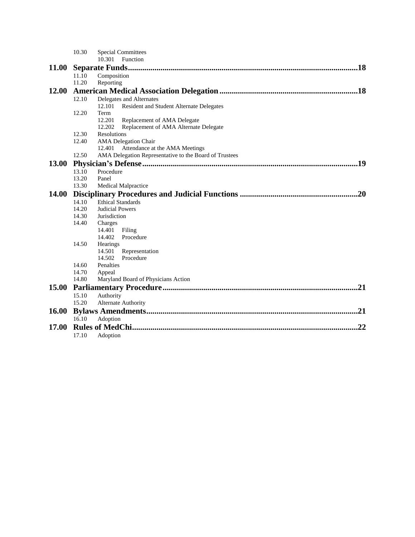|              | 10.30                               | <b>Special Committees</b>                              |  |  |  |
|--------------|-------------------------------------|--------------------------------------------------------|--|--|--|
|              |                                     | 10.301<br>Function                                     |  |  |  |
| <b>11.00</b> | .18                                 |                                                        |  |  |  |
|              | 11.10                               | Composition                                            |  |  |  |
|              | 11.20                               | Reporting                                              |  |  |  |
| 12.00        |                                     |                                                        |  |  |  |
|              | 12.10                               | Delegates and Alternates                               |  |  |  |
|              |                                     | Resident and Student Alternate Delegates<br>12.101     |  |  |  |
|              | 12.20                               | Term                                                   |  |  |  |
|              |                                     | 12.201<br>Replacement of AMA Delegate                  |  |  |  |
|              |                                     | 12.202<br>Replacement of AMA Alternate Delegate        |  |  |  |
|              | 12.30                               | Resolutions                                            |  |  |  |
|              | 12.40                               | <b>AMA</b> Delegation Chair                            |  |  |  |
|              |                                     | Attendance at the AMA Meetings<br>12.401               |  |  |  |
|              | 12.50                               | AMA Delegation Representative to the Board of Trustees |  |  |  |
| <b>13.00</b> |                                     |                                                        |  |  |  |
|              | 13.10                               | Procedure                                              |  |  |  |
|              | 13.20                               | Panel                                                  |  |  |  |
|              | 13.30                               | Medical Malpractice                                    |  |  |  |
| 14.00        | .20                                 |                                                        |  |  |  |
|              | 14.10                               | <b>Ethical Standards</b>                               |  |  |  |
|              | 14.20                               | Judicial Powers                                        |  |  |  |
|              | 14.30                               | Jurisdiction                                           |  |  |  |
|              | 14.40                               | Charges                                                |  |  |  |
|              |                                     | 14.401<br>Filing                                       |  |  |  |
|              |                                     | 14.402<br>Procedure                                    |  |  |  |
|              | 14.50                               | <b>Hearings</b>                                        |  |  |  |
|              |                                     | Representation<br>14.501                               |  |  |  |
|              |                                     | 14.502<br>Procedure                                    |  |  |  |
|              | 14.60<br>14.70                      | Penalties                                              |  |  |  |
|              | 14.80                               | Appeal                                                 |  |  |  |
|              | Maryland Board of Physicians Action |                                                        |  |  |  |
| 15.00        |                                     | .21                                                    |  |  |  |
|              | 15.10                               | Authority                                              |  |  |  |
|              | 15.20                               | Alternate Authority                                    |  |  |  |
| <b>16.00</b> |                                     | .21                                                    |  |  |  |
|              | 16.10                               | Adoption                                               |  |  |  |
| 17.00        | 22                                  |                                                        |  |  |  |
|              | 17.10                               | Adoption                                               |  |  |  |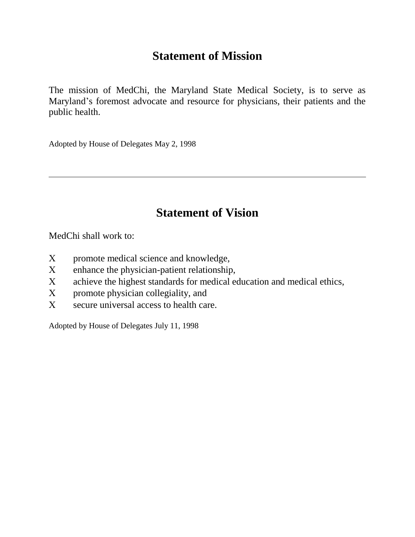# **Statement of Mission**

The mission of MedChi, the Maryland State Medical Society, is to serve as Maryland's foremost advocate and resource for physicians, their patients and the public health.

Adopted by House of Delegates May 2, 1998

# **Statement of Vision**

MedChi shall work to:

- promote medical science and knowledge,
- enhance the physician-patient relationship,
- achieve the highest standards for medical education and medical ethics,
- promote physician collegiality, and
- secure universal access to health care.

Adopted by House of Delegates July 11, 1998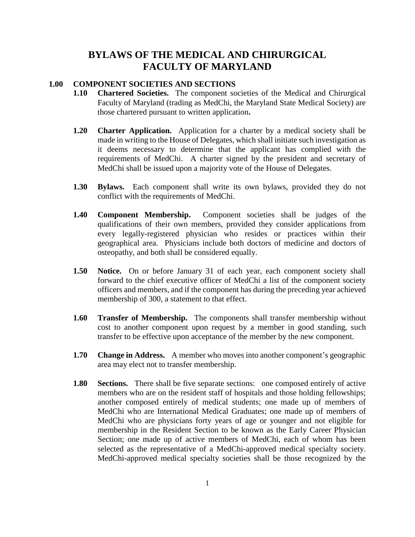# **BYLAWS OF THE MEDICAL AND CHIRURGICAL FACULTY OF MARYLAND**

#### **1.00 COMPONENT SOCIETIES AND SECTIONS**

- **1.10 Chartered Societies.** The component societies of the Medical and Chirurgical Faculty of Maryland (trading as MedChi, the Maryland State Medical Society) are those chartered pursuant to written application**.**
- **1.20 Charter Application.** Application for a charter by a medical society shall be made in writing to the House of Delegates, which shall initiate such investigation as it deems necessary to determine that the applicant has complied with the requirements of MedChi. A charter signed by the president and secretary of MedChi shall be issued upon a majority vote of the House of Delegates.
- **1.30 Bylaws.** Each component shall write its own bylaws, provided they do not conflict with the requirements of MedChi.
- **1.40 Component Membership.** Component societies shall be judges of the qualifications of their own members, provided they consider applications from every legally-registered physician who resides or practices within their geographical area. Physicians include both doctors of medicine and doctors of osteopathy, and both shall be considered equally.
- **1.50 Notice.** On or before January 31 of each year, each component society shall forward to the chief executive officer of MedChi a list of the component society officers and members, and if the component has during the preceding year achieved membership of 300, a statement to that effect.
- **1.60 Transfer of Membership.** The components shall transfer membership without cost to another component upon request by a member in good standing, such transfer to be effective upon acceptance of the member by the new component.
- **1.70 Change in Address.** A member who moves into another component's geographic area may elect not to transfer membership.
- **1.80 Sections.** There shall be five separate sections: one composed entirely of active members who are on the resident staff of hospitals and those holding fellowships; another composed entirely of medical students; one made up of members of MedChi who are International Medical Graduates; one made up of members of MedChi who are physicians forty years of age or younger and not eligible for membership in the Resident Section to be known as the Early Career Physician Section; one made up of active members of MedChi, each of whom has been selected as the representative of a MedChi-approved medical specialty society. MedChi-approved medical specialty societies shall be those recognized by the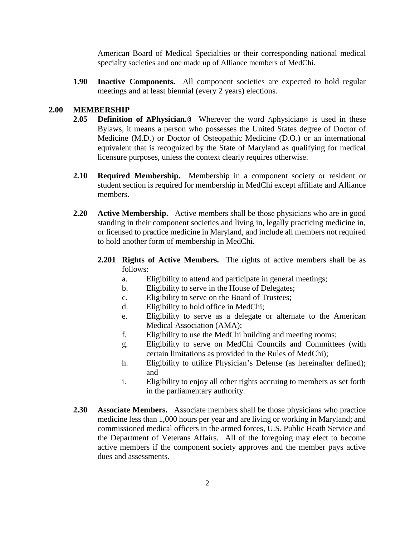American Board of Medical Specialties or their corresponding national medical specialty societies and one made up of Alliance members of MedChi.

**1.90 Inactive Components.** All component societies are expected to hold regular meetings and at least biennial (every 2 years) elections.

### **2.00 MEMBERSHIP**

- **2.05 Definition of APhysician.@** Wherever the word Aphysician@ is used in these Bylaws, it means a person who possesses the United States degree of Doctor of Medicine (M.D.) or Doctor of Osteopathic Medicine (D.O.) or an international equivalent that is recognized by the State of Maryland as qualifying for medical licensure purposes, unless the context clearly requires otherwise.
- **2.10 Required Membership.** Membership in a component society or resident or student section is required for membership in MedChi except affiliate and Alliance members.
- **2.20 Active Membership.** Active members shall be those physicians who are in good standing in their component societies and living in, legally practicing medicine in, or licensed to practice medicine in Maryland, and include all members not required to hold another form of membership in MedChi.
	- **2.201 Rights of Active Members.** The rights of active members shall be as follows:
		- a. Eligibility to attend and participate in general meetings;
		- b. Eligibility to serve in the House of Delegates;
		- c. Eligibility to serve on the Board of Trustees;
		- d. Eligibility to hold office in MedChi;
		- e. Eligibility to serve as a delegate or alternate to the American Medical Association (AMA);
		- f. Eligibility to use the MedChi building and meeting rooms;
		- g. Eligibility to serve on MedChi Councils and Committees (with certain limitations as provided in the Rules of MedChi);
		- h. Eligibility to utilize Physician's Defense (as hereinafter defined); and
		- i. Eligibility to enjoy all other rights accruing to members as set forth in the parliamentary authority.
- **2.30 Associate Members.** Associate members shall be those physicians who practice medicine less than 1,000 hours per year and are living or working in Maryland; and commissioned medical officers in the armed forces, U.S. Public Heath Service and the Department of Veterans Affairs. All of the foregoing may elect to become active members if the component society approves and the member pays active dues and assessments.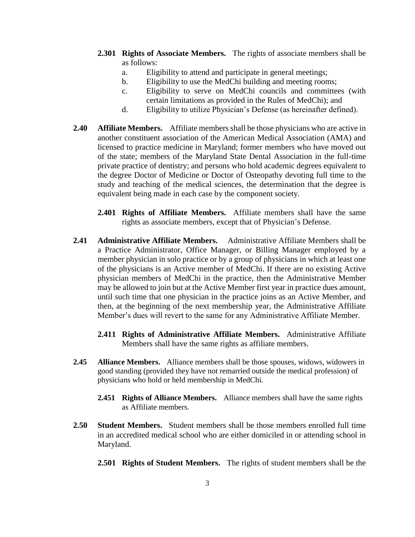- **2.301 Rights of Associate Members.** The rights of associate members shall be as follows:
	- a. Eligibility to attend and participate in general meetings;
	- b. Eligibility to use the MedChi building and meeting rooms;
	- c. Eligibility to serve on MedChi councils and committees (with certain limitations as provided in the Rules of MedChi); and
	- d. Eligibility to utilize Physician's Defense (as hereinafter defined).
- **2.40 Affiliate Members.** Affiliate members shall be those physicians who are active in another constituent association of the American Medical Association (AMA) and licensed to practice medicine in Maryland; former members who have moved out of the state; members of the Maryland State Dental Association in the full-time private practice of dentistry; and persons who hold academic degrees equivalent to the degree Doctor of Medicine or Doctor of Osteopathy devoting full time to the study and teaching of the medical sciences, the determination that the degree is equivalent being made in each case by the component society.
	- **2.401 Rights of Affiliate Members.** Affiliate members shall have the same rights as associate members, except that of Physician's Defense.
- **2.41 Administrative Affiliate Members.** Administrative Affiliate Members shall be a Practice Administrator, Office Manager, or Billing Manager employed by a member physician in solo practice or by a group of physicians in which at least one of the physicians is an Active member of MedChi. If there are no existing Active physician members of MedChi in the practice, then the Administrative Member may be allowed to join but at the Active Member first year in practice dues amount, until such time that one physician in the practice joins as an Active Member, and then, at the beginning of the next membership year, the Administrative Affiliate Member's dues will revert to the same for any Administrative Affiliate Member.
	- **2.411 Rights of Administrative Affiliate Members.** Administrative Affiliate Members shall have the same rights as affiliate members.
- **2.45 Alliance Members.** Alliance members shall be those spouses, widows, widowers in good standing (provided they have not remarried outside the medical profession) of physicians who hold or held membership in MedChi.
	- **2.451 Rights of Alliance Members.** Alliance members shall have the same rights as Affiliate members.
- **2.50 Student Members.** Student members shall be those members enrolled full time in an accredited medical school who are either domiciled in or attending school in Maryland.
	- **2.501 Rights of Student Members.** The rights of student members shall be the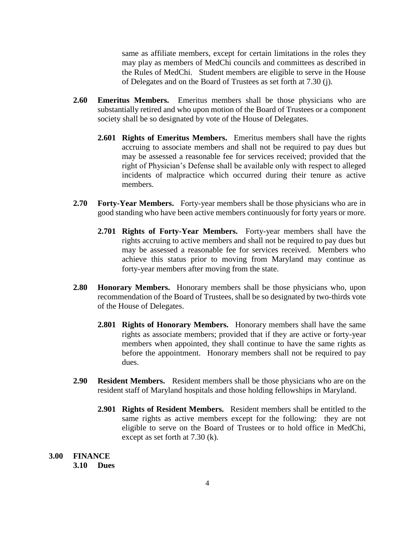same as affiliate members, except for certain limitations in the roles they may play as members of MedChi councils and committees as described in the Rules of MedChi. Student members are eligible to serve in the House of Delegates and on the Board of Trustees as set forth at 7.30 (j).

- **2.60 Emeritus Members.** Emeritus members shall be those physicians who are substantially retired and who upon motion of the Board of Trustees or a component society shall be so designated by vote of the House of Delegates.
	- **2.601 Rights of Emeritus Members.** Emeritus members shall have the rights accruing to associate members and shall not be required to pay dues but may be assessed a reasonable fee for services received; provided that the right of Physician's Defense shall be available only with respect to alleged incidents of malpractice which occurred during their tenure as active members.
- **2.70 Forty-Year Members.** Forty-year members shall be those physicians who are in good standing who have been active members continuously for forty years or more.
	- **2.701 Rights of Forty-Year Members.** Forty-year members shall have the rights accruing to active members and shall not be required to pay dues but may be assessed a reasonable fee for services received. Members who achieve this status prior to moving from Maryland may continue as forty-year members after moving from the state.
- **2.80 Honorary Members.** Honorary members shall be those physicians who, upon recommendation of the Board of Trustees, shall be so designated by two-thirds vote of the House of Delegates.
	- **2.801 Rights of Honorary Members.** Honorary members shall have the same rights as associate members; provided that if they are active or forty-year members when appointed, they shall continue to have the same rights as before the appointment. Honorary members shall not be required to pay dues.
- **2.90 Resident Members.** Resident members shall be those physicians who are on the resident staff of Maryland hospitals and those holding fellowships in Maryland.
	- **2.901 Rights of Resident Members.** Resident members shall be entitled to the same rights as active members except for the following: they are not eligible to serve on the Board of Trustees or to hold office in MedChi, except as set forth at 7.30 (k).

**3.00 FINANCE 3.10 Dues**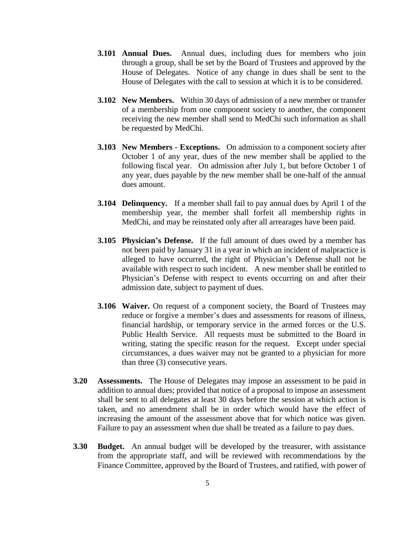- **3.101 Annual Dues.** Annual dues, including dues for members who join through a group, shall be set by the Board of Trustees and approved by the House of Delegates. Notice of any change in dues shall be sent to the House of Delegates with the call to session at which it is to be considered.
- **3.102 New Members.** Within 30 days of admission of a new member or transfer of a membership from one component society to another, the component receiving the new member shall send to MedChi such information as shall be requested by MedChi.
- **3.103 New Members - Exceptions.** On admission to a component society after October 1 of any year, dues of the new member shall be applied to the following fiscal year. On admission after July 1, but before October 1 of any year, dues payable by the new member shall be one-half of the annual dues amount.
- **3.104 Delinquency.** If a member shall fail to pay annual dues by April 1 of the membership year, the member shall forfeit all membership rights in MedChi, and may be reinstated only after all arrearages have been paid.
- **3.105 Physician's Defense.** If the full amount of dues owed by a member has not been paid by January 31 in a year in which an incident of malpractice is alleged to have occurred, the right of Physician's Defense shall not be available with respect to such incident. A new member shall be entitled to Physician's Defense with respect to events occurring on and after their admission date, subject to payment of dues.
- **3.106 Waiver.** On request of a component society, the Board of Trustees may reduce or forgive a member's dues and assessments for reasons of illness, financial hardship, or temporary service in the armed forces or the U.S. Public Health Service. All requests must be submitted to the Board in writing, stating the specific reason for the request. Except under special circumstances, a dues waiver may not be granted to a physician for more than three (3) consecutive years.
- **3.20 Assessments.** The House of Delegates may impose an assessment to be paid in addition to annual dues; provided that notice of a proposal to impose an assessment shall be sent to all delegates at least 30 days before the session at which action is taken, and no amendment shall be in order which would have the effect of increasing the amount of the assessment above that for which notice was given. Failure to pay an assessment when due shall be treated as a failure to pay dues.
- **3.30 Budget.** An annual budget will be developed by the treasurer, with assistance from the appropriate staff, and will be reviewed with recommendations by the Finance Committee, approved by the Board of Trustees, and ratified, with power of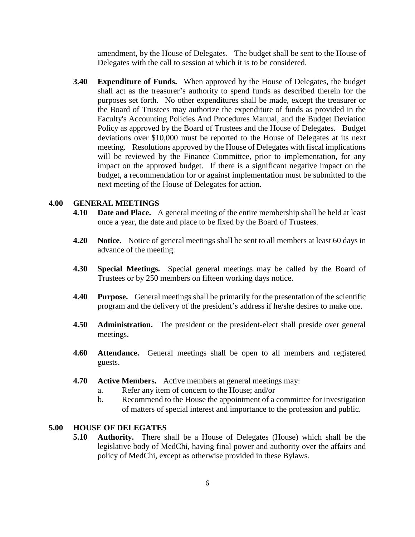amendment, by the House of Delegates. The budget shall be sent to the House of Delegates with the call to session at which it is to be considered.

**3.40 Expenditure of Funds.** When approved by the House of Delegates, the budget shall act as the treasurer's authority to spend funds as described therein for the purposes set forth. No other expenditures shall be made, except the treasurer or the Board of Trustees may authorize the expenditure of funds as provided in the Faculty's Accounting Policies And Procedures Manual, and the Budget Deviation Policy as approved by the Board of Trustees and the House of Delegates. Budget deviations over \$10,000 must be reported to the House of Delegates at its next meeting. Resolutions approved by the House of Delegates with fiscal implications will be reviewed by the Finance Committee, prior to implementation, for any impact on the approved budget. If there is a significant negative impact on the budget, a recommendation for or against implementation must be submitted to the next meeting of the House of Delegates for action.

# **4.00 GENERAL MEETINGS**

- **4.10 Date and Place.** A general meeting of the entire membership shall be held at least once a year, the date and place to be fixed by the Board of Trustees.
- **4.20 Notice.** Notice of general meetings shall be sent to all members at least 60 days in advance of the meeting.
- **4.30 Special Meetings.** Special general meetings may be called by the Board of Trustees or by 250 members on fifteen working days notice.
- **4.40 Purpose.** General meetings shall be primarily for the presentation of the scientific program and the delivery of the president's address if he/she desires to make one.
- **4.50 Administration.** The president or the president-elect shall preside over general meetings.
- **4.60 Attendance.** General meetings shall be open to all members and registered guests.
- **4.70 Active Members.** Active members at general meetings may:
	- a. Refer any item of concern to the House; and/or
	- b. Recommend to the House the appointment of a committee for investigation of matters of special interest and importance to the profession and public.

## **5.00 HOUSE OF DELEGATES**

**5.10 Authority.** There shall be a House of Delegates (House) which shall be the legislative body of MedChi, having final power and authority over the affairs and policy of MedChi, except as otherwise provided in these Bylaws.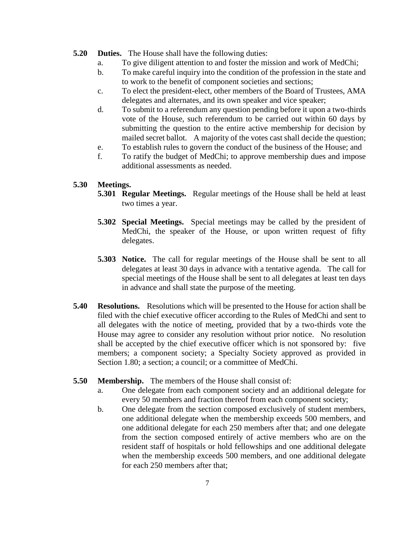- **5.20 Duties.** The House shall have the following duties:
	- a. To give diligent attention to and foster the mission and work of MedChi;
	- b. To make careful inquiry into the condition of the profession in the state and to work to the benefit of component societies and sections;
	- c. To elect the president-elect, other members of the Board of Trustees, AMA delegates and alternates, and its own speaker and vice speaker;
	- d. To submit to a referendum any question pending before it upon a two-thirds vote of the House, such referendum to be carried out within 60 days by submitting the question to the entire active membership for decision by mailed secret ballot. A majority of the votes cast shall decide the question;
	- e. To establish rules to govern the conduct of the business of the House; and
	- f. To ratify the budget of MedChi; to approve membership dues and impose additional assessments as needed.

## **5.30 Meetings.**

- **5.301 Regular Meetings.** Regular meetings of the House shall be held at least two times a year.
- **5.302 Special Meetings.** Special meetings may be called by the president of MedChi, the speaker of the House, or upon written request of fifty delegates.
- **5.303 Notice.** The call for regular meetings of the House shall be sent to all delegates at least 30 days in advance with a tentative agenda. The call for special meetings of the House shall be sent to all delegates at least ten days in advance and shall state the purpose of the meeting.
- **5.40 Resolutions.** Resolutions which will be presented to the House for action shall be filed with the chief executive officer according to the Rules of MedChi and sent to all delegates with the notice of meeting, provided that by a two-thirds vote the House may agree to consider any resolution without prior notice. No resolution shall be accepted by the chief executive officer which is not sponsored by: five members; a component society; a Specialty Society approved as provided in Section 1.80; a section; a council; or a committee of MedChi.
- **5.50 Membership.** The members of the House shall consist of:
	- a. One delegate from each component society and an additional delegate for every 50 members and fraction thereof from each component society;
	- b. One delegate from the section composed exclusively of student members, one additional delegate when the membership exceeds 500 members, and one additional delegate for each 250 members after that; and one delegate from the section composed entirely of active members who are on the resident staff of hospitals or hold fellowships and one additional delegate when the membership exceeds 500 members, and one additional delegate for each 250 members after that;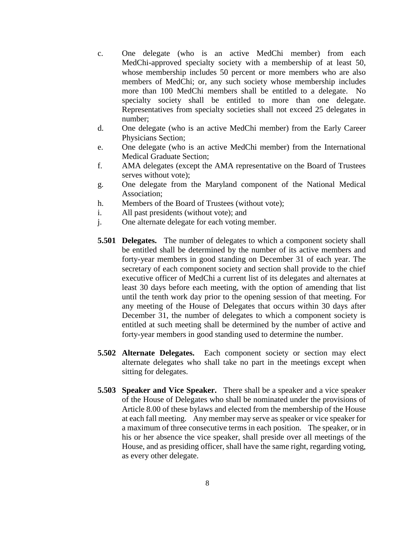- c. One delegate (who is an active MedChi member) from each MedChi-approved specialty society with a membership of at least 50, whose membership includes 50 percent or more members who are also members of MedChi; or, any such society whose membership includes more than 100 MedChi members shall be entitled to a delegate. No specialty society shall be entitled to more than one delegate. Representatives from specialty societies shall not exceed 25 delegates in number;
- d. One delegate (who is an active MedChi member) from the Early Career Physicians Section;
- e. One delegate (who is an active MedChi member) from the International Medical Graduate Section;
- f. AMA delegates (except the AMA representative on the Board of Trustees serves without vote);
- g. One delegate from the Maryland component of the National Medical Association;
- h. Members of the Board of Trustees (without vote);
- i. All past presidents (without vote); and
- j. One alternate delegate for each voting member.
- **5.501 Delegates.** The number of delegates to which a component society shall be entitled shall be determined by the number of its active members and forty-year members in good standing on December 31 of each year. The secretary of each component society and section shall provide to the chief executive officer of MedChi a current list of its delegates and alternates at least 30 days before each meeting, with the option of amending that list until the tenth work day prior to the opening session of that meeting. For any meeting of the House of Delegates that occurs within 30 days after December 31, the number of delegates to which a component society is entitled at such meeting shall be determined by the number of active and forty-year members in good standing used to determine the number.
- **5.502 Alternate Delegates.** Each component society or section may elect alternate delegates who shall take no part in the meetings except when sitting for delegates.
- **5.503 Speaker and Vice Speaker.** There shall be a speaker and a vice speaker of the House of Delegates who shall be nominated under the provisions of Article 8.00 of these bylaws and elected from the membership of the House at each fall meeting. Any member may serve as speaker or vice speaker for a maximum of three consecutive terms in each position. The speaker, or in his or her absence the vice speaker, shall preside over all meetings of the House, and as presiding officer, shall have the same right, regarding voting, as every other delegate.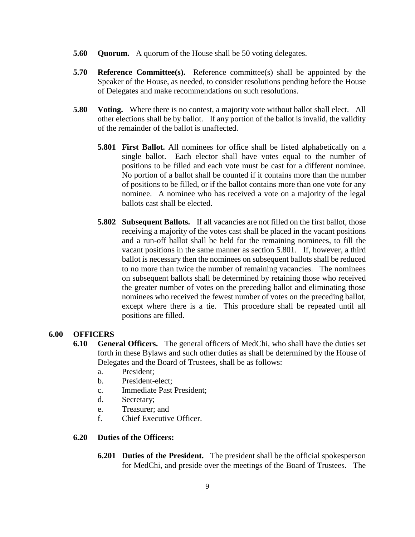- **5.60 Quorum.** A quorum of the House shall be 50 voting delegates.
- **5.70 Reference Committee(s).** Reference committee(s) shall be appointed by the Speaker of the House, as needed, to consider resolutions pending before the House of Delegates and make recommendations on such resolutions.
- **5.80 Voting.** Where there is no contest, a majority vote without ballot shall elect. All other elections shall be by ballot. If any portion of the ballot is invalid, the validity of the remainder of the ballot is unaffected.
	- **5.801 First Ballot.** All nominees for office shall be listed alphabetically on a single ballot. Each elector shall have votes equal to the number of positions to be filled and each vote must be cast for a different nominee. No portion of a ballot shall be counted if it contains more than the number of positions to be filled, or if the ballot contains more than one vote for any nominee. A nominee who has received a vote on a majority of the legal ballots cast shall be elected.
	- **5.802 Subsequent Ballots.** If all vacancies are not filled on the first ballot, those receiving a majority of the votes cast shall be placed in the vacant positions and a run-off ballot shall be held for the remaining nominees, to fill the vacant positions in the same manner as section 5.801. If, however, a third ballot is necessary then the nominees on subsequent ballots shall be reduced to no more than twice the number of remaining vacancies. The nominees on subsequent ballots shall be determined by retaining those who received the greater number of votes on the preceding ballot and eliminating those nominees who received the fewest number of votes on the preceding ballot, except where there is a tie. This procedure shall be repeated until all positions are filled.

# **6.00 OFFICERS**

- **6.10 General Officers.** The general officers of MedChi, who shall have the duties set forth in these Bylaws and such other duties as shall be determined by the House of Delegates and the Board of Trustees, shall be as follows:
	- a. President;
	- b. President-elect;
	- c. Immediate Past President;
	- d. Secretary;
	- e. Treasurer; and
	- f. Chief Executive Officer.

# **6.20 Duties of the Officers:**

**6.201 Duties of the President.** The president shall be the official spokesperson for MedChi, and preside over the meetings of the Board of Trustees. The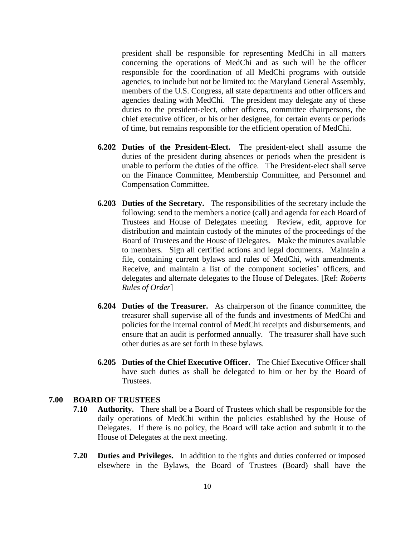president shall be responsible for representing MedChi in all matters concerning the operations of MedChi and as such will be the officer responsible for the coordination of all MedChi programs with outside agencies, to include but not be limited to: the Maryland General Assembly, members of the U.S. Congress, all state departments and other officers and agencies dealing with MedChi. The president may delegate any of these duties to the president-elect, other officers, committee chairpersons, the chief executive officer, or his or her designee, for certain events or periods of time, but remains responsible for the efficient operation of MedChi.

- **6.202 Duties of the President-Elect.** The president-elect shall assume the duties of the president during absences or periods when the president is unable to perform the duties of the office. The President-elect shall serve on the Finance Committee, Membership Committee, and Personnel and Compensation Committee.
- **6.203 Duties of the Secretary.** The responsibilities of the secretary include the following: send to the members a notice (call) and agenda for each Board of Trustees and House of Delegates meeting. Review, edit, approve for distribution and maintain custody of the minutes of the proceedings of the Board of Trustees and the House of Delegates. Make the minutes available to members. Sign all certified actions and legal documents. Maintain a file, containing current bylaws and rules of MedChi, with amendments. Receive, and maintain a list of the component societies' officers, and delegates and alternate delegates to the House of Delegates. [Ref: *Roberts Rules of Order*]
- **6.204 Duties of the Treasurer.** As chairperson of the finance committee, the treasurer shall supervise all of the funds and investments of MedChi and policies for the internal control of MedChi receipts and disbursements, and ensure that an audit is performed annually. The treasurer shall have such other duties as are set forth in these bylaws.
- **6.205 Duties of the Chief Executive Officer.** The Chief Executive Officer shall have such duties as shall be delegated to him or her by the Board of Trustees.

# **7.00 BOARD OF TRUSTEES**

- **7.10 Authority.** There shall be a Board of Trustees which shall be responsible for the daily operations of MedChi within the policies established by the House of Delegates. If there is no policy, the Board will take action and submit it to the House of Delegates at the next meeting.
- **7.20 Duties and Privileges.** In addition to the rights and duties conferred or imposed elsewhere in the Bylaws, the Board of Trustees (Board) shall have the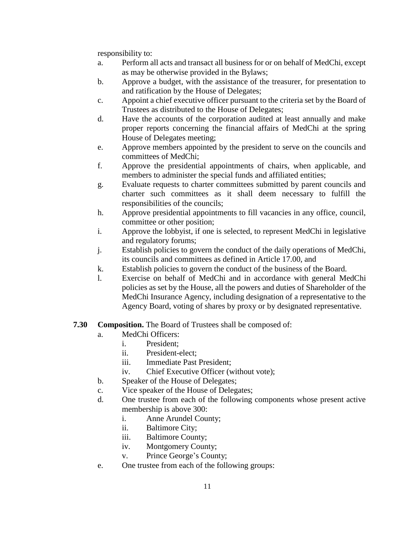responsibility to:

- a. Perform all acts and transact all business for or on behalf of MedChi, except as may be otherwise provided in the Bylaws;
- b. Approve a budget, with the assistance of the treasurer, for presentation to and ratification by the House of Delegates;
- c. Appoint a chief executive officer pursuant to the criteria set by the Board of Trustees as distributed to the House of Delegates;
- d. Have the accounts of the corporation audited at least annually and make proper reports concerning the financial affairs of MedChi at the spring House of Delegates meeting;
- e. Approve members appointed by the president to serve on the councils and committees of MedChi;
- f. Approve the presidential appointments of chairs, when applicable, and members to administer the special funds and affiliated entities;
- g. Evaluate requests to charter committees submitted by parent councils and charter such committees as it shall deem necessary to fulfill the responsibilities of the councils;
- h. Approve presidential appointments to fill vacancies in any office, council, committee or other position;
- i. Approve the lobbyist, if one is selected, to represent MedChi in legislative and regulatory forums;
- j. Establish policies to govern the conduct of the daily operations of MedChi, its councils and committees as defined in Article 17.00, and
- k. Establish policies to govern the conduct of the business of the Board.
- l. Exercise on behalf of MedChi and in accordance with general MedChi policies as set by the House, all the powers and duties of Shareholder of the MedChi Insurance Agency, including designation of a representative to the Agency Board, voting of shares by proxy or by designated representative.

# **7.30 Composition.** The Board of Trustees shall be composed of:

- a. MedChi Officers:
	- i. President;
	- ii. President-elect;
	- iii. Immediate Past President;
	- iv. Chief Executive Officer (without vote);
- b. Speaker of the House of Delegates;
- c. Vice speaker of the House of Delegates;
- d. One trustee from each of the following components whose present active membership is above 300:
	- i. Anne Arundel County;
	- ii. Baltimore City;
	- iii. Baltimore County;
	- iv. Montgomery County;
	- v. Prince George's County;
- e. One trustee from each of the following groups: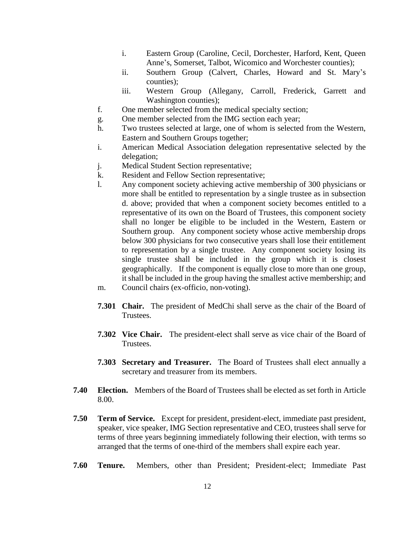- i. Eastern Group (Caroline, Cecil, Dorchester, Harford, Kent, Queen Anne's, Somerset, Talbot, Wicomico and Worchester counties);
- ii. Southern Group (Calvert, Charles, Howard and St. Mary's counties);
- iii. Western Group (Allegany, Carroll, Frederick, Garrett and Washington counties);
- f. One member selected from the medical specialty section;
- g. One member selected from the IMG section each year;
- h. Two trustees selected at large, one of whom is selected from the Western, Eastern and Southern Groups together;
- i. American Medical Association delegation representative selected by the delegation;
- j. Medical Student Section representative;
- k. Resident and Fellow Section representative;
- l. Any component society achieving active membership of 300 physicians or more shall be entitled to representation by a single trustee as in subsection d. above; provided that when a component society becomes entitled to a representative of its own on the Board of Trustees, this component society shall no longer be eligible to be included in the Western, Eastern or Southern group. Any component society whose active membership drops below 300 physicians for two consecutive years shall lose their entitlement to representation by a single trustee. Any component society losing its single trustee shall be included in the group which it is closest geographically. If the component is equally close to more than one group, it shall be included in the group having the smallest active membership; and m. Council chairs (ex-officio, non-voting).
- 
- **7.301 Chair.** The president of MedChi shall serve as the chair of the Board of Trustees.
- **7.302 Vice Chair.** The president-elect shall serve as vice chair of the Board of Trustees.
- **7.303 Secretary and Treasurer.** The Board of Trustees shall elect annually a secretary and treasurer from its members.
- **7.40 Election.** Members of the Board of Trustees shall be elected as set forth in Article 8.00.
- **7.50 Term of Service.** Except for president, president-elect, immediate past president, speaker, vice speaker, IMG Section representative and CEO, trustees shall serve for terms of three years beginning immediately following their election, with terms so arranged that the terms of one-third of the members shall expire each year.
- **7.60 Tenure.** Members, other than President; President-elect; Immediate Past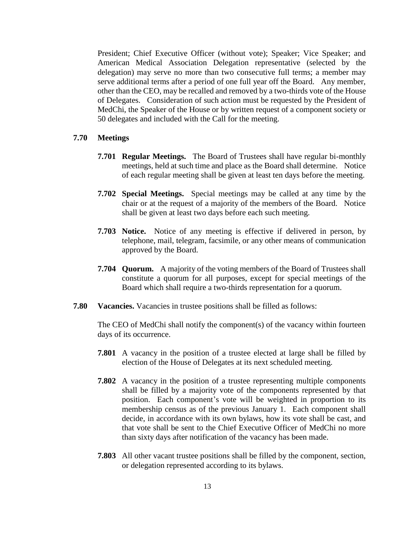President; Chief Executive Officer (without vote); Speaker; Vice Speaker; and American Medical Association Delegation representative (selected by the delegation) may serve no more than two consecutive full terms; a member may serve additional terms after a period of one full year off the Board. Any member, other than the CEO, may be recalled and removed by a two-thirds vote of the House of Delegates. Consideration of such action must be requested by the President of MedChi, the Speaker of the House or by written request of a component society or 50 delegates and included with the Call for the meeting.

# **7.70 Meetings**

- **7.701 Regular Meetings.** The Board of Trustees shall have regular bi-monthly meetings, held at such time and place as the Board shall determine. Notice of each regular meeting shall be given at least ten days before the meeting.
- **7.702 Special Meetings.** Special meetings may be called at any time by the chair or at the request of a majority of the members of the Board. Notice shall be given at least two days before each such meeting.
- **7.703 Notice.** Notice of any meeting is effective if delivered in person, by telephone, mail, telegram, facsimile, or any other means of communication approved by the Board.
- **7.704 Quorum.** A majority of the voting members of the Board of Trustees shall constitute a quorum for all purposes, except for special meetings of the Board which shall require a two-thirds representation for a quorum.
- **7.80 Vacancies.** Vacancies in trustee positions shall be filled as follows:

The CEO of MedChi shall notify the component(s) of the vacancy within fourteen days of its occurrence.

- **7.801** A vacancy in the position of a trustee elected at large shall be filled by election of the House of Delegates at its next scheduled meeting.
- **7.802** A vacancy in the position of a trustee representing multiple components shall be filled by a majority vote of the components represented by that position. Each component's vote will be weighted in proportion to its membership census as of the previous January 1. Each component shall decide, in accordance with its own bylaws, how its vote shall be cast, and that vote shall be sent to the Chief Executive Officer of MedChi no more than sixty days after notification of the vacancy has been made.
- **7.803** All other vacant trustee positions shall be filled by the component, section, or delegation represented according to its bylaws.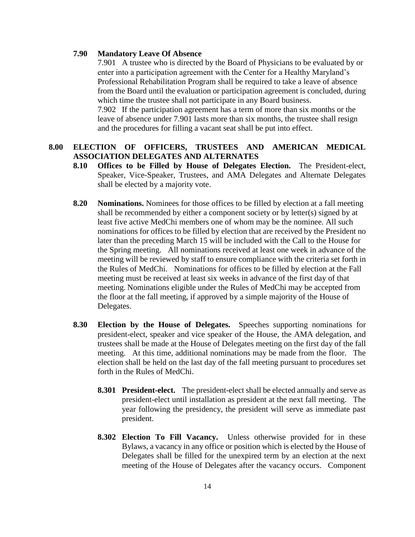# **7.90 Mandatory Leave Of Absence**

7.901 A trustee who is directed by the Board of Physicians to be evaluated by or enter into a participation agreement with the Center for a Healthy Maryland's Professional Rehabilitation Program shall be required to take a leave of absence from the Board until the evaluation or participation agreement is concluded, during which time the trustee shall not participate in any Board business. 7.902 If the participation agreement has a term of more than six months or the leave of absence under 7.901 lasts more than six months, the trustee shall resign and the procedures for filling a vacant seat shall be put into effect.

# **8.00 ELECTION OF OFFICERS, TRUSTEES AND AMERICAN MEDICAL ASSOCIATION DELEGATES AND ALTERNATES**

- **8.10 Offices to be Filled by House of Delegates Election.** The President-elect, Speaker, Vice-Speaker, Trustees, and AMA Delegates and Alternate Delegates shall be elected by a majority vote.
- **8.20** Nominations. Nominees for those offices to be filled by election at a fall meeting shall be recommended by either a component society or by letter(s) signed by at least five active MedChi members one of whom may be the nominee. All such nominations for offices to be filled by election that are received by the President no later than the preceding March 15 will be included with the Call to the House for the Spring meeting. All nominations received at least one week in advance of the meeting will be reviewed by staff to ensure compliance with the criteria set forth in the Rules of MedChi. Nominations for offices to be filled by election at the Fall meeting must be received at least six weeks in advance of the first day of that meeting. Nominations eligible under the Rules of MedChi may be accepted from the floor at the fall meeting, if approved by a simple majority of the House of Delegates.
- **8.30 Election by the House of Delegates.** Speeches supporting nominations for president-elect, speaker and vice speaker of the House, the AMA delegation, and trustees shall be made at the House of Delegates meeting on the first day of the fall meeting. At this time, additional nominations may be made from the floor. The election shall be held on the last day of the fall meeting pursuant to procedures set forth in the Rules of MedChi.
	- **8.301 President-elect.** The president-elect shall be elected annually and serve as president-elect until installation as president at the next fall meeting. The year following the presidency, the president will serve as immediate past president.
	- **8.302 Election To Fill Vacancy.** Unless otherwise provided for in these Bylaws, a vacancy in any office or position which is elected by the House of Delegates shall be filled for the unexpired term by an election at the next meeting of the House of Delegates after the vacancy occurs. Component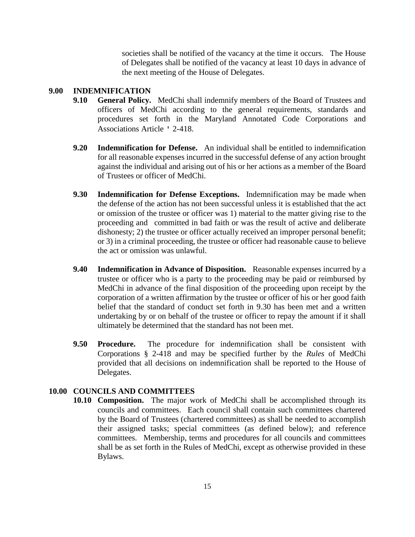societies shall be notified of the vacancy at the time it occurs. The House of Delegates shall be notified of the vacancy at least 10 days in advance of the next meeting of the House of Delegates.

# **9.00 INDEMNIFICATION**

- **9.10 General Policy.** MedChi shall indemnify members of the Board of Trustees and officers of MedChi according to the general requirements, standards and procedures set forth in the Maryland Annotated Code Corporations and Associations Article ' 2-418.
- **9.20 Indemnification for Defense.** An individual shall be entitled to indemnification for all reasonable expenses incurred in the successful defense of any action brought against the individual and arising out of his or her actions as a member of the Board of Trustees or officer of MedChi.
- **9.30 Indemnification for Defense Exceptions.** Indemnification may be made when the defense of the action has not been successful unless it is established that the act or omission of the trustee or officer was 1) material to the matter giving rise to the proceeding and committed in bad faith or was the result of active and deliberate dishonesty; 2) the trustee or officer actually received an improper personal benefit; or 3) in a criminal proceeding, the trustee or officer had reasonable cause to believe the act or omission was unlawful.
- **9.40 Indemnification in Advance of Disposition.** Reasonable expenses incurred by a trustee or officer who is a party to the proceeding may be paid or reimbursed by MedChi in advance of the final disposition of the proceeding upon receipt by the corporation of a written affirmation by the trustee or officer of his or her good faith belief that the standard of conduct set forth in 9.30 has been met and a written undertaking by or on behalf of the trustee or officer to repay the amount if it shall ultimately be determined that the standard has not been met.
- **9.50 Procedure.** The procedure for indemnification shall be consistent with Corporations § 2-418 and may be specified further by the *Rules* of MedChi provided that all decisions on indemnification shall be reported to the House of Delegates.

# **10.00 COUNCILS AND COMMITTEES**

**10.10 Composition.** The major work of MedChi shall be accomplished through its councils and committees. Each council shall contain such committees chartered by the Board of Trustees (chartered committees) as shall be needed to accomplish their assigned tasks; special committees (as defined below); and reference committees. Membership, terms and procedures for all councils and committees shall be as set forth in the Rules of MedChi, except as otherwise provided in these Bylaws.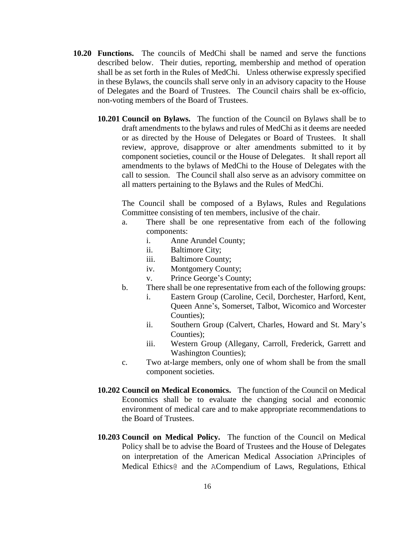- **10.20 Functions.** The councils of MedChi shall be named and serve the functions described below. Their duties, reporting, membership and method of operation shall be as set forth in the Rules of MedChi. Unless otherwise expressly specified in these Bylaws, the councils shall serve only in an advisory capacity to the House of Delegates and the Board of Trustees. The Council chairs shall be ex-officio, non-voting members of the Board of Trustees.
	- **10.201 Council on Bylaws.** The function of the Council on Bylaws shall be to draft amendments to the bylaws and rules of MedChi as it deems are needed or as directed by the House of Delegates or Board of Trustees. It shall review, approve, disapprove or alter amendments submitted to it by component societies, council or the House of Delegates. It shall report all amendments to the bylaws of MedChi to the House of Delegates with the call to session. The Council shall also serve as an advisory committee on all matters pertaining to the Bylaws and the Rules of MedChi.

The Council shall be composed of a Bylaws, Rules and Regulations Committee consisting of ten members, inclusive of the chair.

- a. There shall be one representative from each of the following components:
	- i. Anne Arundel County;
	- ii. Baltimore City;
	- iii. Baltimore County;
	- iv. Montgomery County;
	- v. Prince George's County;
- b. There shall be one representative from each of the following groups:
	- i. Eastern Group (Caroline, Cecil, Dorchester, Harford, Kent, Queen Anne's, Somerset, Talbot, Wicomico and Worcester Counties);
	- ii. Southern Group (Calvert, Charles, Howard and St. Mary's Counties);
	- iii. Western Group (Allegany, Carroll, Frederick, Garrett and Washington Counties);
- c. Two at-large members, only one of whom shall be from the small component societies.
- **10.202 Council on Medical Economics.** The function of the Council on Medical Economics shall be to evaluate the changing social and economic environment of medical care and to make appropriate recommendations to the Board of Trustees.
- **10.203 Council on Medical Policy.** The function of the Council on Medical Policy shall be to advise the Board of Trustees and the House of Delegates on interpretation of the American Medical Association APrinciples of Medical Ethics@ and the ACompendium of Laws, Regulations, Ethical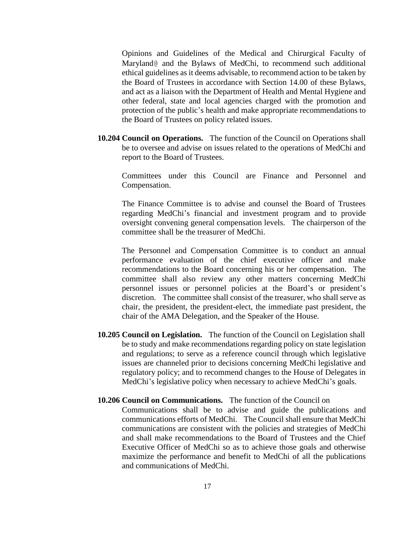Opinions and Guidelines of the Medical and Chirurgical Faculty of Maryland@ and the Bylaws of MedChi, to recommend such additional ethical guidelines as it deems advisable, to recommend action to be taken by the Board of Trustees in accordance with Section 14.00 of these Bylaws, and act as a liaison with the Department of Health and Mental Hygiene and other federal, state and local agencies charged with the promotion and protection of the public's health and make appropriate recommendations to the Board of Trustees on policy related issues.

**10.204 Council on Operations.** The function of the Council on Operations shall be to oversee and advise on issues related to the operations of MedChi and report to the Board of Trustees.

Committees under this Council are Finance and Personnel and Compensation.

The Finance Committee is to advise and counsel the Board of Trustees regarding MedChi's financial and investment program and to provide oversight convening general compensation levels. The chairperson of the committee shall be the treasurer of MedChi.

The Personnel and Compensation Committee is to conduct an annual performance evaluation of the chief executive officer and make recommendations to the Board concerning his or her compensation. The committee shall also review any other matters concerning MedChi personnel issues or personnel policies at the Board's or president's discretion. The committee shall consist of the treasurer, who shall serve as chair, the president, the president-elect, the immediate past president, the chair of the AMA Delegation, and the Speaker of the House.

**10.205 Council on Legislation.** The function of the Council on Legislation shall be to study and make recommendations regarding policy on state legislation and regulations; to serve as a reference council through which legislative issues are channeled prior to decisions concerning MedChi legislative and regulatory policy; and to recommend changes to the House of Delegates in MedChi's legislative policy when necessary to achieve MedChi's goals.

# **10.206 Council on Communications.** The function of the Council on

Communications shall be to advise and guide the publications and communications efforts of MedChi. The Council shall ensure that MedChi communications are consistent with the policies and strategies of MedChi and shall make recommendations to the Board of Trustees and the Chief Executive Officer of MedChi so as to achieve those goals and otherwise maximize the performance and benefit to MedChi of all the publications and communications of MedChi.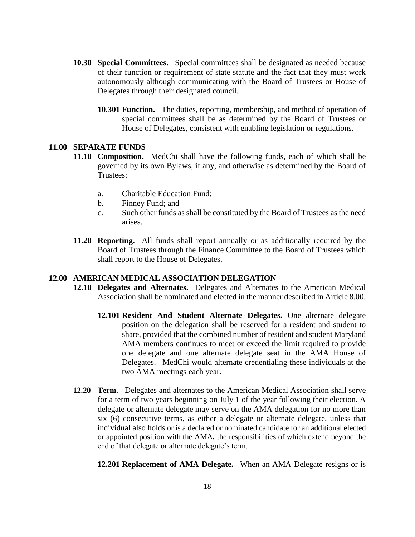- **10.30 Special Committees.** Special committees shall be designated as needed because of their function or requirement of state statute and the fact that they must work autonomously although communicating with the Board of Trustees or House of Delegates through their designated council.
	- **10.301 Function.** The duties, reporting, membership, and method of operation of special committees shall be as determined by the Board of Trustees or House of Delegates, consistent with enabling legislation or regulations.

#### **11.00 SEPARATE FUNDS**

- **11.10 Composition.** MedChi shall have the following funds, each of which shall be governed by its own Bylaws, if any, and otherwise as determined by the Board of Trustees:
	- a. Charitable Education Fund;
	- b. Finney Fund; and
	- c. Such other funds as shall be constituted by the Board of Trustees as the need arises.
- **11.20 Reporting.** All funds shall report annually or as additionally required by the Board of Trustees through the Finance Committee to the Board of Trustees which shall report to the House of Delegates.

# **12.00 AMERICAN MEDICAL ASSOCIATION DELEGATION**

- **12.10 Delegates and Alternates.** Delegates and Alternates to the American Medical Association shall be nominated and elected in the manner described in Article 8.00.
	- **12.101 Resident And Student Alternate Delegates.** One alternate delegate position on the delegation shall be reserved for a resident and student to share, provided that the combined number of resident and student Maryland AMA members continues to meet or exceed the limit required to provide one delegate and one alternate delegate seat in the AMA House of Delegates. MedChi would alternate credentialing these individuals at the two AMA meetings each year.
- **12.20 Term.** Delegates and alternates to the American Medical Association shall serve for a term of two years beginning on July 1 of the year following their election. A delegate or alternate delegate may serve on the AMA delegation for no more than six (6) consecutive terms, as either a delegate or alternate delegate, unless that individual also holds or is a declared or nominated candidate for an additional elected or appointed position with the AMA**,** the responsibilities of which extend beyond the end of that delegate or alternate delegate's term.

**12.201 Replacement of AMA Delegate.** When an AMA Delegate resigns or is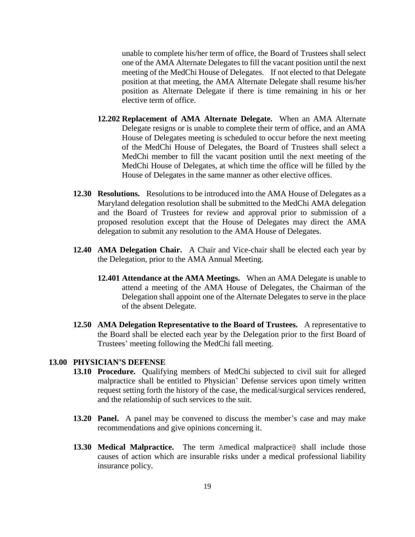unable to complete his/her term of office, the Board of Trustees shall select one of the AMA Alternate Delegates to fill the vacant position until the next meeting of the MedChi House of Delegates. If not elected to that Delegate position at that meeting, the AMA Alternate Delegate shall resume his/her position as Alternate Delegate if there is time remaining in his or her elective term of office.

- **12.202 Replacement of AMA Alternate Delegate.** When an AMA Alternate Delegate resigns or is unable to complete their term of office, and an AMA House of Delegates meeting is scheduled to occur before the next meeting of the MedChi House of Delegates, the Board of Trustees shall select a MedChi member to fill the vacant position until the next meeting of the MedChi House of Delegates, at which time the office will be filled by the House of Delegates in the same manner as other elective offices.
- **12.30 Resolutions.** Resolutions to be introduced into the AMA House of Delegates as a Maryland delegation resolution shall be submitted to the MedChi AMA delegation and the Board of Trustees for review and approval prior to submission of a proposed resolution except that the House of Delegates may direct the AMA delegation to submit any resolution to the AMA House of Delegates.
- **12.40 AMA Delegation Chair.** A Chair and Vice-chair shall be elected each year by the Delegation, prior to the AMA Annual Meeting.
	- **12.401 Attendance at the AMA Meetings.** When an AMA Delegate is unable to attend a meeting of the AMA House of Delegates, the Chairman of the Delegation shall appoint one of the Alternate Delegates to serve in the place of the absent Delegate.
- **12.50 AMA Delegation Representative to the Board of Trustees.** A representative to the Board shall be elected each year by the Delegation prior to the first Board of Trustees' meeting following the MedChi fall meeting.

# **13.00 PHYSICIAN'S DEFENSE**

- **13.10 Procedure.** Qualifying members of MedChi subjected to civil suit for alleged malpractice shall be entitled to Physician' Defense services upon timely written request setting forth the history of the case, the medical/surgical services rendered, and the relationship of such services to the suit.
- **13.20 Panel.** A panel may be convened to discuss the member's case and may make recommendations and give opinions concerning it.
- **13.30 Medical Malpractice.** The term Amedical malpractice@ shall include those causes of action which are insurable risks under a medical professional liability insurance policy.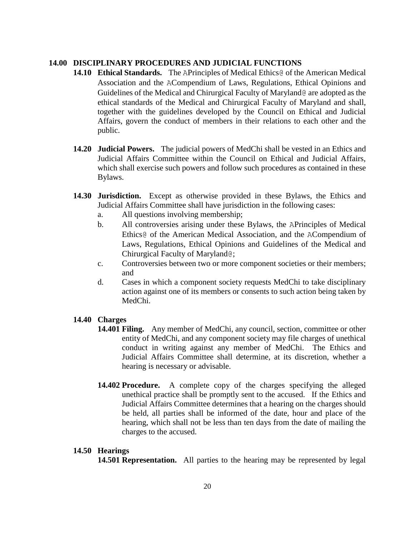# **14.00 DISCIPLINARY PROCEDURES AND JUDICIAL FUNCTIONS**

- **14.10 Ethical Standards.** The APrinciples of Medical Ethics@ of the American Medical Association and the ACompendium of Laws, Regulations, Ethical Opinions and Guidelines of the Medical and Chirurgical Faculty of Maryland@ are adopted as the ethical standards of the Medical and Chirurgical Faculty of Maryland and shall, together with the guidelines developed by the Council on Ethical and Judicial Affairs, govern the conduct of members in their relations to each other and the public.
- **14.20 Judicial Powers.** The judicial powers of MedChi shall be vested in an Ethics and Judicial Affairs Committee within the Council on Ethical and Judicial Affairs, which shall exercise such powers and follow such procedures as contained in these Bylaws.
- **14.30 Jurisdiction.** Except as otherwise provided in these Bylaws, the Ethics and Judicial Affairs Committee shall have jurisdiction in the following cases:
	- a. All questions involving membership;
	- b. All controversies arising under these Bylaws, the APrinciples of Medical Ethics@ of the American Medical Association, and the ACompendium of Laws, Regulations, Ethical Opinions and Guidelines of the Medical and Chirurgical Faculty of Maryland@;
	- c. Controversies between two or more component societies or their members; and
	- d. Cases in which a component society requests MedChi to take disciplinary action against one of its members or consents to such action being taken by MedChi.

# **14.40 Charges**

- **14.401 Filing.** Any member of MedChi, any council, section, committee or other entity of MedChi, and any component society may file charges of unethical conduct in writing against any member of MedChi. The Ethics and Judicial Affairs Committee shall determine, at its discretion, whether a hearing is necessary or advisable.
- **14.402 Procedure.** A complete copy of the charges specifying the alleged unethical practice shall be promptly sent to the accused. If the Ethics and Judicial Affairs Committee determines that a hearing on the charges should be held, all parties shall be informed of the date, hour and place of the hearing, which shall not be less than ten days from the date of mailing the charges to the accused.

#### **14.50 Hearings**

**14.501 Representation.** All parties to the hearing may be represented by legal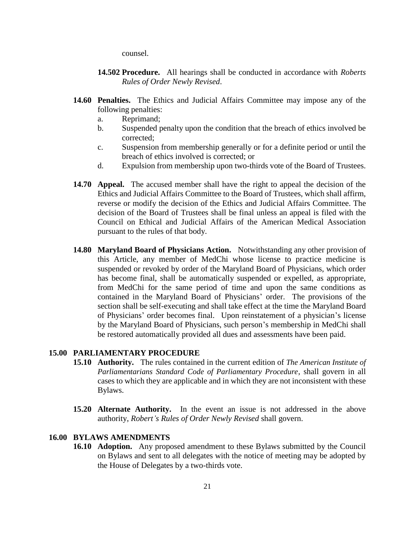counsel.

- **14.502 Procedure.** All hearings shall be conducted in accordance with *Roberts Rules of Order Newly Revised*.
- **14.60 Penalties.** The Ethics and Judicial Affairs Committee may impose any of the following penalties:
	- a. Reprimand;
	- b. Suspended penalty upon the condition that the breach of ethics involved be corrected;
	- c. Suspension from membership generally or for a definite period or until the breach of ethics involved is corrected; or
	- d. Expulsion from membership upon two-thirds vote of the Board of Trustees.
- **14.70 Appeal.** The accused member shall have the right to appeal the decision of the Ethics and Judicial Affairs Committee to the Board of Trustees, which shall affirm, reverse or modify the decision of the Ethics and Judicial Affairs Committee. The decision of the Board of Trustees shall be final unless an appeal is filed with the Council on Ethical and Judicial Affairs of the American Medical Association pursuant to the rules of that body.
- **14.80 Maryland Board of Physicians Action.** Notwithstanding any other provision of this Article, any member of MedChi whose license to practice medicine is suspended or revoked by order of the Maryland Board of Physicians, which order has become final, shall be automatically suspended or expelled, as appropriate, from MedChi for the same period of time and upon the same conditions as contained in the Maryland Board of Physicians' order. The provisions of the section shall be self-executing and shall take effect at the time the Maryland Board of Physicians' order becomes final. Upon reinstatement of a physician's license by the Maryland Board of Physicians, such person's membership in MedChi shall be restored automatically provided all dues and assessments have been paid.

#### **15.00 PARLIAMENTARY PROCEDURE**

- **15.10 Authority.** The rules contained in the current edition of *The American Institute of Parliamentarians Standard Code of Parliamentary Procedure*, shall govern in all cases to which they are applicable and in which they are not inconsistent with these Bylaws.
- **15.20 Alternate Authority.** In the event an issue is not addressed in the above authority, *Robert's Rules of Order Newly Revised* shall govern.

# **16.00 BYLAWS AMENDMENTS**

**16.10 Adoption.** Any proposed amendment to these Bylaws submitted by the Council on Bylaws and sent to all delegates with the notice of meeting may be adopted by the House of Delegates by a two-thirds vote.